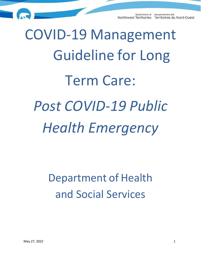# COVID-19 Management Guideline for Long Term Care: *Post COVID-19 Public Health Emergency*

# Department of Health and Social Services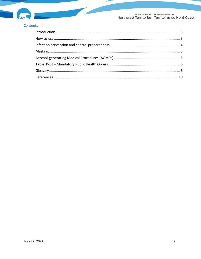

#### Contents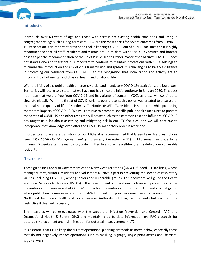

#### <span id="page-2-0"></span>Introduction

Individuals over 60 years of age and those with certain pre-existing health conditions and living in congregate settings such as long-term care (LTC) are the most at risk for severe outcomes from COVID-19. Vaccination is an important prevention tool in keeping COVID-19 out of our LTC facilities and it is highly recommended that all staff, residents and visitors are up to date with COVID-19 vaccines and booster doses as per the recommendation of the Chief Public Health Officer. Vaccination against COVID- 19 does not stand alone and therefore it is important to continue to maintain protections within LTC settings to minimize the introduction and risk of virus transmission and spread. It is challenging to balance diligence in protecting our residents from COVID-19 with the recognition that socialization and activity are an important part of mental and physical health and quality of life.

With the lifting of the public health emergency order and mandatory COVID-19 restrictions, the Northwest Territories will return to a state that we have not had since the initial outbreak in January 2020. This does not mean that we are free from COVID-19 and its variants of concern (VOC), as these will continue to circulate globally. With the threat of COVID variants ever-present, this policy was created to ensure that the health and quality of life of Northwest Territories (NWT) LTC residents is supported while protecting them from impacts of COVID-19. We will continue to promote specific public health measures to prevent the spread of COVID-19 and other respiratory illnesses such as the common cold and influenza. COVID-19 has taught us a lot about assessing and mitigating risk in our LTC facilities, and we will continue to incorporate that knowledge even after the COVID-19 mandatory order is rescinded.

In order to ensure a safe transition for our LTCFs, it is recommended that Green Level Alert restrictions (see *DHSS COVID-19 Management Policy Document, December 2021*) in LTC remain in place for a minimum 2 weeks after the mandatory order islifted to ensure the well-being and safety of our vulnerable residents.

#### <span id="page-2-1"></span>How to use

These guidelines apply to Government of the Northwest Territories (GNWT) funded LTC facilities, whose managers, staff, visitors, residents and volunteers all have a part in preventing the spread of respiratory viruses, including COVID-19, among seniors and vulnerable groups. This document will guide the Health and Social Services Authorities (HSSA's) in the development of operational policies and procedures for the prevention and management of COVID-19, Infection Prevention and Control (IPAC), and risk mitigation when public health measures are lifted. GNWT funded LTC providers must meet, at a minimum, the Northwest Territories Health and Social Services Authority (NTHSSA) requirements but can be more restrictive if deemed necessary.

The measures will be re-evaluated with the support of Infection Prevention and Control (IPAC) and Occupational Health & Safety (OHS) and maintaining up to date information on IPAC protocols for outbreak management and risk mitigation for outbreak management in LTC.

It is essential that LTCFs keep the current operational planning protocols as noted below, especially those that do not negatively impact operations such as masking, signage, single point access and barriers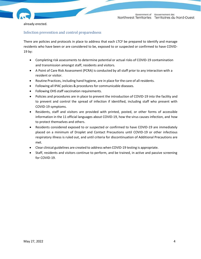

already erected.

#### <span id="page-3-0"></span>Infection prevention and control preparedness

There are policies and protocols in place to address that each LTCF be prepared to identify and manage residents who have been or are considered to be, exposed to or suspected or confirmed to have COVID-19 by:

- Completing risk assessments to determine potential or actual risks of COVID-19 contamination and transmission amongst staff, residents and visitors.
- A Point of Care Risk Assessment (PCRA) is conducted by all staff prior to any interaction with a resident or visitor.
- Routine Practices, including hand hygiene, are in place for the care of all residents.
- Following all IPAC policies& procedures for communicable diseases.
- Following OHS staff vaccination requirements.
- Policies and procedures are in place to prevent the introduction of COVID-19 into the facility and to prevent and control the spread of infection if identified, including staff who present with COVID-19 symptoms.
- Residents, staff and visitors are provided with printed, posted, or other forms of accessible information in the 11 official languages about COVID-19, how the virus causes infection, and how to protect themselves and others.
- Residents considered exposed to or suspected or confirmed to have COVID-19 are immediately placed on a minimum of Droplet and Contact Precautions until COVID-19 or other infectious respiratory illness is ruled out, and until criteria for discontinuation of Additional Precautions are met.
- Clear clinical guidelines are created to address when COVID-19 testing is appropriate.
- Staff, residents and visitors continue to perform, and be trained, in active and passive screening for COVID-19.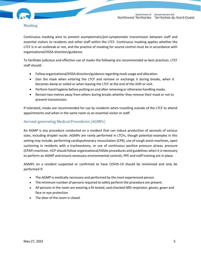

#### <span id="page-4-0"></span>Masking

Continuous masking aims to prevent asymptomatic/pre-symptomatic transmission between staff and essential visitors to residents and other staff within the LTCF. Continuous masking applies whether the LTCF is in an outbreak or not, and the practice of masking for source control must be in accordance with organizational/HSSA direction/guidance.

To facilitate judicious and effective use of masks the following are recommended as best practices. LTCF staff should:

- Follow organizational/HSSA direction/guidance regarding mask usage and allocation.
- Don the mask when entering the LTCF and remove or exchange it during breaks, when it becomes damp or soiled or when leaving the LTCF at the end of the shift or visit.
- Perform hand hygiene before putting on and after removing or otherwise handling masks.
- Remain two metres away from others during breaks whether they remove their mask or not to prevent transmission.

If tolerated, masks are recommended for use by residents when travelling outside of the LTCF to attend appointments and when in the same room as an essential visitor or staff.

#### <span id="page-4-1"></span>Aerosol-generating Medical Procedures (AGMPs)

An AGMP is any procedure conducted on a resident that can induce production of aerosols of various sizes, including droplet nuclei. AGMPs are rarely performed in LTCFs, though potential examples in this setting may include; performing cardiopulmonary resuscitation (CPR), use of cough assist machines, open suctioning in residents with a tracheostomy, or use of continuous positive pressure airway pressure (CPAP) machines. HCP should follow organizational/HSSAs procedures and guidelines when it is necessary to perform an AGMP and ensure necessary environmental controls, PPE and staff training are in place.

AGMPs on a resident suspected or confirmed to have COVID-19 should be minimized and only be performed if:

- The AGMP is medically necessary and performed by the most experienced person.
- The minimum number of persons required to safely perform the procedure are present.
- All persons in the room are wearing a fit-tested, seal-checked N95 respirator, gloves, gown and face or eye protection.
- The door of the room is closed.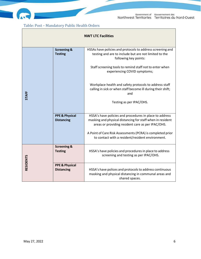

 $\overline{\phantom{a}}$ 

## <span id="page-5-0"></span>Table: Post – Mandatory Public Health Orders

| <b>NWT LTC Facilities</b> |                                                |                                                                                                                                                                            |  |  |
|---------------------------|------------------------------------------------|----------------------------------------------------------------------------------------------------------------------------------------------------------------------------|--|--|
|                           | <b>Screening &amp;</b><br><b>Testing</b>       | HSSAs have policies and protocols to address screening and<br>testing and are to include but are not limited to the<br>following key points:                               |  |  |
|                           |                                                | Staff screening tools to remind staff not to enter when<br>experiencing COVID symptoms;                                                                                    |  |  |
| <b>STAFF</b>              |                                                | Workplace health and safety protocols to address staff<br>calling in sick or when staff become ill during their shift;<br>and                                              |  |  |
|                           |                                                | Testing as per IPAC/OHS.                                                                                                                                                   |  |  |
|                           | <b>PPE &amp; Physical</b><br><b>Distancing</b> | HSSA's have policies and procedures in place to address<br>masking and physical distancing for staff when in resident<br>areas or providing resident care as per IPAC/OHS. |  |  |
|                           |                                                | A Point of Care Risk Assessments (PCRA) is completed prior<br>to contact with a resident/resident environment.                                                             |  |  |
|                           | <b>Screening &amp;</b><br><b>Testing</b>       | HSSA's have policies and procedures in place to address<br>screening and testing as per IPAC/OHS.                                                                          |  |  |
| <b>RESIDENTS</b>          | <b>PPE &amp; Physical</b><br><b>Distancing</b> | HSSA's have polices and protocols to address continuous<br>masking and physical distancing in communal areas and<br>shared spaces.                                         |  |  |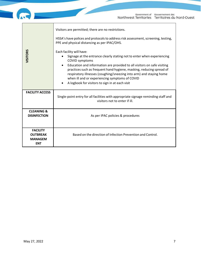|                                                 | Government of Gouvernement des<br>Northwest Territories Territoires du Nord-Ouest                                                                                                                                                                                                                                                                                                                                                                                                                                                                                                                                                                     |  |
|-------------------------------------------------|-------------------------------------------------------------------------------------------------------------------------------------------------------------------------------------------------------------------------------------------------------------------------------------------------------------------------------------------------------------------------------------------------------------------------------------------------------------------------------------------------------------------------------------------------------------------------------------------------------------------------------------------------------|--|
| VISITORS                                        | Visitors are permitted; there are no restrictions.<br>HSSA's have polices and protocols to address risk assessment, screening, testing,<br>PPE and physical distancing as per IPAC/OHS.<br>Each facility will have:<br>Signage at the entrance clearly stating not to enter when experiencing<br><b>COVID symptoms</b><br>Education and information are provided to all visitors on safe visiting<br>practices such as frequent hand hygiene, masking, reducing spread of<br>respiratory illnesses (coughing/sneezing into arm) and staying home<br>when ill and or experiencing symptoms of COVID<br>A logbook for visitors to sign in at each visit |  |
| <b>FACILITY ACCESS</b>                          | Single-point entry for all facilities with appropriate signage reminding staff and<br>visitors not to enter if ill.                                                                                                                                                                                                                                                                                                                                                                                                                                                                                                                                   |  |
| <b>CLEANING &amp;</b><br><b>DISINFECTION</b>    | As per IPAC policies & procedures                                                                                                                                                                                                                                                                                                                                                                                                                                                                                                                                                                                                                     |  |
| <b>FACILITY</b>                                 |                                                                                                                                                                                                                                                                                                                                                                                                                                                                                                                                                                                                                                                       |  |
| <b>OUTBREAK</b><br><b>MANAGEM</b><br><b>ENT</b> | Based on the direction of Infection Prevention and Control.                                                                                                                                                                                                                                                                                                                                                                                                                                                                                                                                                                                           |  |
|                                                 |                                                                                                                                                                                                                                                                                                                                                                                                                                                                                                                                                                                                                                                       |  |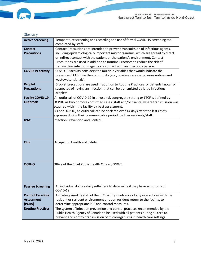## <span id="page-7-0"></span>Glossary

IG

E

| <b>Active Screening</b>                                  | Temperature screening and recording and use of formal COVID-19 screening tool<br>completed by staff.                                                                                                                                                                                                                                                                                                     |  |  |
|----------------------------------------------------------|----------------------------------------------------------------------------------------------------------------------------------------------------------------------------------------------------------------------------------------------------------------------------------------------------------------------------------------------------------------------------------------------------------|--|--|
| <b>Contact</b><br><b>Precautions</b>                     | Contact Precautions are intended to prevent transmission of infectious agents,<br>including epidemiologically important microorganisms, which are spread by direct<br>or indirect contact with the patient or the patient's environment. Contact<br>Precautions are used in addition to Routine Practices to reduce the risk of<br>transmitting infectious agents via contact with an infectious person. |  |  |
| <b>COVID 19 activity</b>                                 | COVID-19 activity considers the multiple variables that would indicate the<br>presence of COVID in the community (e.g., positive cases, exposures notices and<br>wastewater signals).                                                                                                                                                                                                                    |  |  |
| <b>Droplet</b><br><b>Precautions</b>                     | Droplet precautions are used in addition to Routine Practices for patients known or<br>suspected of having an infection that can be transmitted by large infectious<br>droplets.                                                                                                                                                                                                                         |  |  |
| <b>Facility COVID-19</b><br><b>Outbreak</b>              | An outbreak of COVID-19 in a hospital, congregate setting or LTCF is defined by<br>OCPHO as two or more confirmed cases (staff and/or clients) where transmission was<br>acquired within the facility by best assessment.<br>As per OCPHO, an outbreak can be declared over 14 days after the last case's<br>exposure during their communicable period to other residents/staff.                         |  |  |
| <b>IPAC</b>                                              | Infection Prevention and Control.                                                                                                                                                                                                                                                                                                                                                                        |  |  |
| <b>OHS</b>                                               | Occupation Health and Safety.                                                                                                                                                                                                                                                                                                                                                                            |  |  |
| <b>OCPHO</b>                                             | Office of the Chief Public Health Officer, GNWT.                                                                                                                                                                                                                                                                                                                                                         |  |  |
| <b>Passive Screening</b>                                 | An individual doing a daily self-check to determine if they have symptoms of<br>COVID-19.                                                                                                                                                                                                                                                                                                                |  |  |
| <b>Point of Care Risk</b><br><b>Assessment</b><br>(PCRA) | A strategy used by staff of the LTC facility in advance of any interactions with the<br>resident or resident environment or upon resident return to the facility, to<br>determine appropriate PPE and control measures.                                                                                                                                                                                  |  |  |
| <b>Routine Practices</b>                                 | The system of infection prevention and control practices recommended by the<br>Public Health Agency of Canada to be used with all patients during all care to<br>prevent and control transmission of microorganisms in health care settings.                                                                                                                                                             |  |  |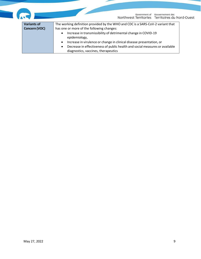|                    | Gouvernement des<br>Government of<br>Northwest Territories Territoires du Nord-Ouest                                                                                                                    |
|--------------------|---------------------------------------------------------------------------------------------------------------------------------------------------------------------------------------------------------|
| <b>Variants of</b> | The working definition provided by the WHO and CDC is a SARS-CoV-2 variant that                                                                                                                         |
| Concern (VOC)      | has one or more of the following changes:<br>Increase in transmissibility of detrimental change in COVID-19<br>$\bullet$<br>epidemiology,                                                               |
|                    | Increase in virulence or change in clinical disease presentation, or<br>$\bullet$<br>Decrease in effectiveness of public health and social measures or available<br>diagnostics, vaccines, therapeutics |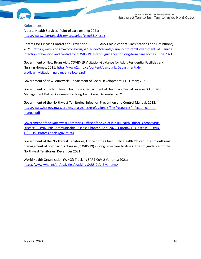



#### <span id="page-9-0"></span>References

Alberta Health Services: Point of care testing; 2021; <https://www.albertahealthservices.ca/lab/page3314.aspx>

Centres for Disease Control and Prevention (CDC): SARS-CoV-2 Variant Classifications and Definitions; 2021; [https://www.cdc.gov/coronavirus/2019-ncov/variants/variant-info.htmlG](https://www.cdc.gov/coronavirus/2019-ncov/variants/variant-info.html)overnment of Canada. Infection prevention and control for COVID-19: Interim guidance for long-term care homes. June 2021

Government of New Brunswick: COVID-19 Visitation Guidance for Adult Residential Facilities and Nursing Homes; 2021; [https://www2.gnb.ca/content/dam/gnb/Departments/h](https://www2.gnb.ca/content/dam/gnb/Departments/h-s/pdf/arf_visitation_guidance_yellow-e.pdf)[s/pdf/arf\\_visitation\\_guidance\\_yellow-e.pdf](https://www2.gnb.ca/content/dam/gnb/Departments/h-s/pdf/arf_visitation_guidance_yellow-e.pdf)

Government of New Brunswick, Department of Social Development: LTC Green; 2021.

Government of the Northwest Territories, Department of Health and Social Services: COVID-19 Management Policy Document for Long Term Care; December 2021

Government of the Northwest Territories: Infection Prevention and Control Manual; 2012; [https://www.hss.gov.nt.ca/professionals/sites/professionals/files/resources/infection-control](https://www.hss.gov.nt.ca/professionals/sites/professionals/files/resources/infection-control-manual.pdf)[manual.pdf](https://www.hss.gov.nt.ca/professionals/sites/professionals/files/resources/infection-control-manual.pdf)

Government of the Northwest Territories, Office of the Chief Public Health Officer. Coronavirus Disease (COVID-19): Communicable Disease Chapter. April 2022. [Coronavirus](https://www.hss.gov.nt.ca/professionals/en/services/coronavirus-disease-covid-19) Disease (COVID-[19\) | HSS Professionals \(gov.nt.ca\)](https://www.hss.gov.nt.ca/professionals/en/services/coronavirus-disease-covid-19)

Government of the Northwest Territories, Office of the Chief Public Health Officer. Interim outbreak management of coronavirus disease (COVID-19) in long term care facilities: Interim guidance for the Northwest Territories. December 2021

World Health Organization (WHO): Tracking SARS-CoV-2 Variants; 2021; <https://www.who.int/en/activities/tracking-SARS-CoV-2-variants/>